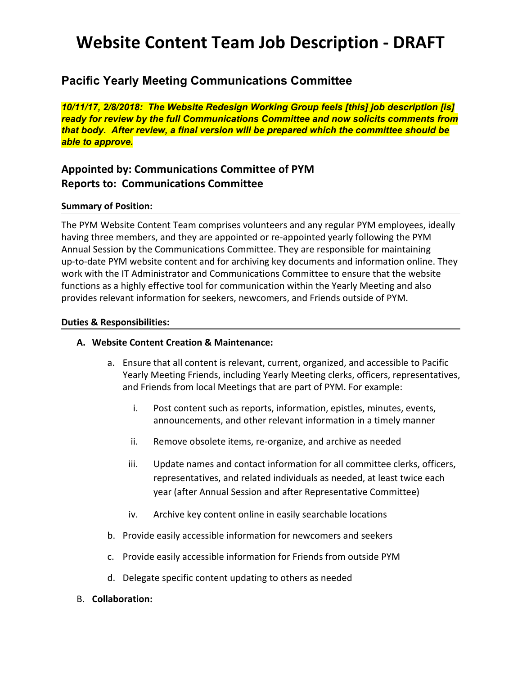## **Website Content Team Job Description - DRAFT**

## **Pacific Yearly Meeting Communications Committee**

*10/11/17, 2/8/2018: The Website Redesign Working Group feels [this] job description [is] ready for review by the full Communications Committee and now solicits comments from that body. After review, a final version will be prepared which the committee should be able to approve.*

### **Appointed by: Communications Committee of PYM Reports to: Communications Committee**

#### **Summary of Position:**

The PYM Website Content Team comprises volunteers and any regular PYM employees, ideally having three members, and they are appointed or re-appointed yearly following the PYM Annual Session by the Communications Committee. They are responsible for maintaining up-to-date PYM website content and for archiving key documents and information online. They work with the IT Administrator and Communications Committee to ensure that the website functions as a highly effective tool for communication within the Yearly Meeting and also provides relevant information for seekers, newcomers, and Friends outside of PYM.

#### **Duties & Responsibilities:**

#### **A. Website Content Creation & Maintenance:**

- a. Ensure that all content is relevant, current, organized, and accessible to Pacific Yearly Meeting Friends, including Yearly Meeting clerks, officers, representatives, and Friends from local Meetings that are part of PYM. For example:
	- i. Post content such as reports, information, epistles, minutes, events, announcements, and other relevant information in a timely manner
	- ii. Remove obsolete items, re-organize, and archive as needed
	- iii. Update names and contact information for all committee clerks, officers, representatives, and related individuals as needed, at least twice each year (after Annual Session and after Representative Committee)
	- iv. Archive key content online in easily searchable locations
- b. Provide easily accessible information for newcomers and seekers
- c. Provide easily accessible information for Friends from outside PYM
- d. Delegate specific content updating to others as needed
- B. **Collaboration:**